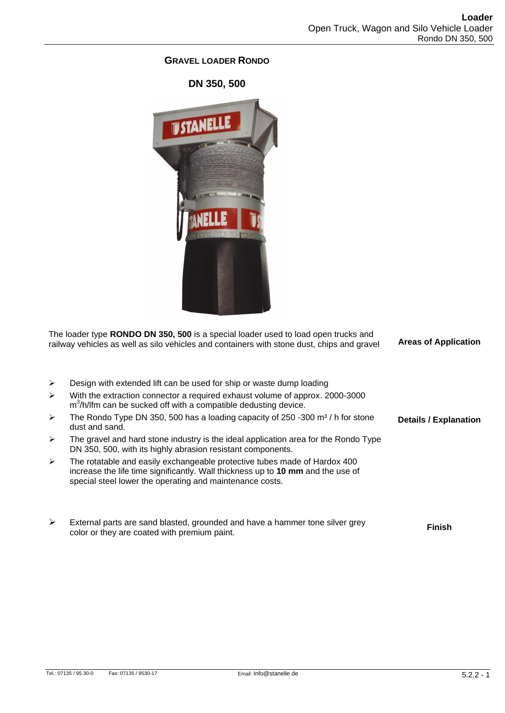## **GRAVEL LOADER RONDO**

**DN 350, 500**



The loader type **RONDO DN 350, 500** is a special loader used to load open trucks and railway vehicles as well as silo vehicles and containers with stone dust, chips and gravel  $\triangleright$  Design with extended lift can be used for ship or waste dump loading  $\triangleright$  With the extraction connector a required exhaust volume of approx. 2000-3000 m<sup>3</sup>/h/lfm can be sucked off with a compatible dedusting device.  $\triangleright$  The Rondo Type DN 350, 500 has a loading capacity of 250 -300 m<sup>3</sup> / h for stone dust and sand.  $\triangleright$  The gravel and hard stone industry is the ideal application area for the Rondo Type DN 350, 500, with its highly abrasion resistant components.  $\triangleright$  The rotatable and easily exchangeable protective tubes made of Hardox 400 increase the life time significantly. Wall thickness up to **10 mm** and the use of special steel lower the operating and maintenance costs. **Areas of Application Details / Explanation**

 $\triangleright$  External parts are sand blasted, grounded and have a hammer tone silver grey color or they are coated with premium paint. **Finish**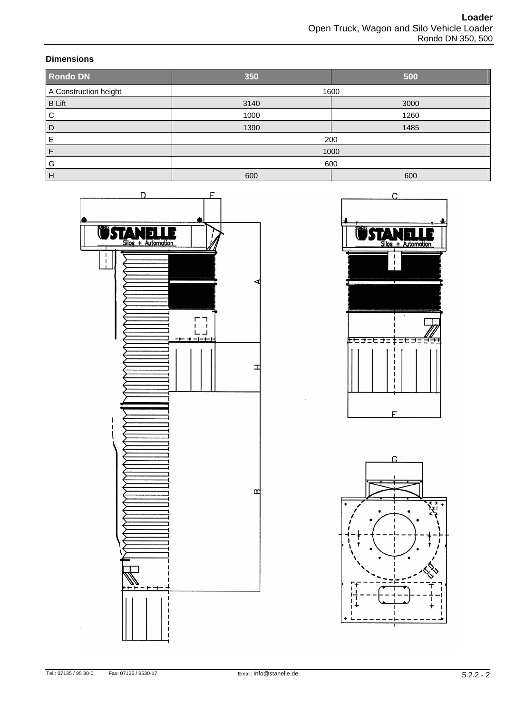### **Dimensions**

| <b>Rondo DN</b>       | 350  | 500  |
|-----------------------|------|------|
| A Construction height | 1600 |      |
| <b>B</b> Lift         | 3140 | 3000 |
| C                     | 1000 | 1260 |
| D                     | 1390 | 1485 |
| E                     | 200  |      |
|                       | 1000 |      |
| G                     | 600  |      |
| H                     | 600  | 600  |